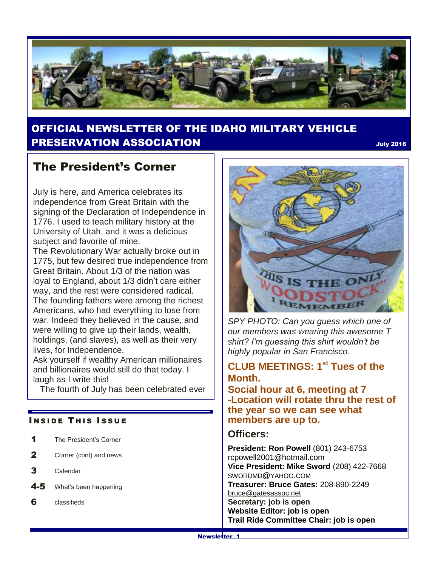

## OFFICIAL NEWSLETTER OF THE IDAHO MILITARY VEHICLE **PRESERVATION ASSOCIATION SECURE 2016 July 2016**

## The President's Corner

July is here, and America celebrates its independence from Great Britain with the signing of the Declaration of Independence in 1776. I used to teach military history at the University of Utah, and it was a delicious subject and favorite of mine.

The Revolutionary War actually broke out in 1775, but few desired true independence from Great Britain. About 1/3 of the nation was loyal to England, about 1/3 didn't care either way, and the rest were considered radical. The founding fathers were among the richest Americans, who had everything to lose from war. Indeed they believed in the cause, and were willing to give up their lands, wealth, holdings, (and slaves), as well as their very lives, for Independence.

Ask yourself if wealthy American millionaires and billionaires would still do that today. I laugh as I write this!

The fourth of July has been celebrated ever

#### **INSIDE THIS ISSUE**

- 1 The President's Corner
- 2 Corner (cont) and news
- 3 Calendar
- 4-5 What's been happening
- 6 classifieds



*SPY PHOTO: Can you guess which one of our members was wearing this awesome T shirt? I'm guessing this shirt wouldn't be highly popular in San Francisco.*

#### **CLUB MEETINGS: 1 st Tues of the Month.**

**Social hour at 6, meeting at 7 -Location will rotate thru the rest of the year so we can see what members are up to.** 

#### **Officers:**

**President: Ron Powell** (801) 243-6753 rcpowell2001@hotmail.com **Vice President: Mike Sword** (208) 422-7668 SWORDMD@YAHOO.COM **Treasurer: Bruce Gates:** 208-890-2249 [bruce@gatesassoc.net](mailto:bruce@gatesassoc.net) **Secretary: job is open Website Editor: job is open Trail Ride Committee Chair: job is open**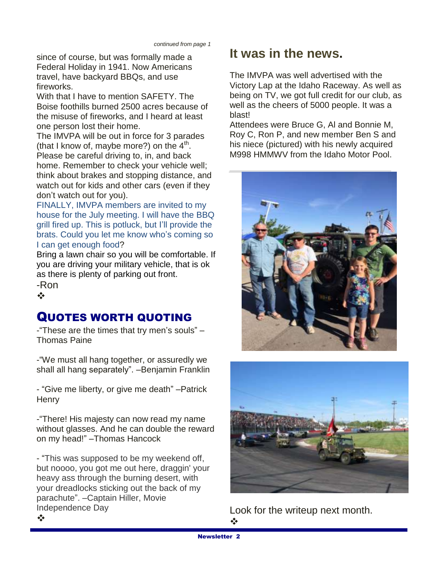since of course, but was formally made a Federal Holiday in 1941. Now Americans travel, have backyard BBQs, and use fireworks.

With that I have to mention SAFFTY. The Boise foothills burned 2500 acres because of the misuse of fireworks, and I heard at least one person lost their home.

The IMVPA will be out in force for 3 parades (that I know of, maybe more?) on the  $4<sup>th</sup>$ . Please be careful driving to, in, and back home. Remember to check your vehicle well; think about brakes and stopping distance, and watch out for kids and other cars (even if they don't watch out for you).

FINALLY, IMVPA members are invited to my house for the July meeting. I will have the BBQ grill fired up. This is potluck, but I'll provide the brats. Could you let me know who's coming so I can get enough food?

Bring a lawn chair so you will be comfortable. If you are driving your military vehicle, that is ok as there is plenty of parking out front.

-Ron  $\frac{1}{2}$ 

### QUOTES WORTH QUOTING

-"These are the times that try men's souls" – Thomas Paine

-"We must all hang together, or assuredly we shall all hang separately". –Benjamin Franklin

- "Give me liberty, or give me death" –Patrick **Henry** 

-"There! His majesty can now read my name without glasses. And he can double the reward on my head!" –Thomas Hancock

- "This was supposed to be my weekend off, but noooo, you got me out here, draggin' your heavy ass through the burning desert, with your dreadlocks sticking out the back of my parachute". –Captain Hiller, Movie Independence Day  $\frac{1}{2}$ 

## **It was in the news.**

The IMVPA was well advertised with the Victory Lap at the Idaho Raceway. As well as being on TV, we got full credit for our club, as well as the cheers of 5000 people. It was a blast!

Attendees were Bruce G, Al and Bonnie M, Roy C, Ron P, and new member Ben S and his niece (pictured) with his newly acquired M998 HMMWV from the Idaho Motor Pool.





Look for the writeup next month.  $\frac{1}{4}$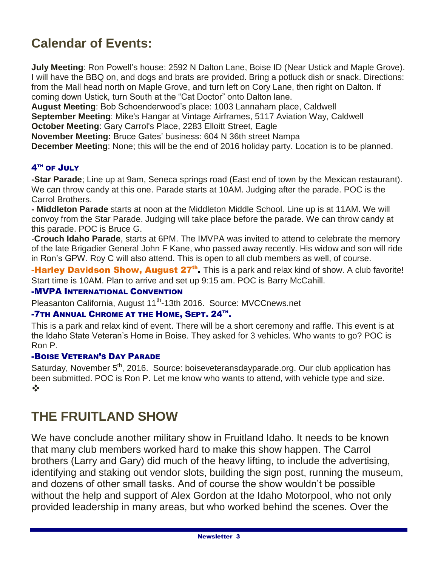# **Calendar of Events:**

**July Meeting**: Ron Powell's house: 2592 N Dalton Lane, Boise ID (Near Ustick and Maple Grove). I will have the BBQ on, and dogs and brats are provided. Bring a potluck dish or snack. Directions: from the Mall head north on Maple Grove, and turn left on Cory Lane, then right on Dalton. If coming down Ustick, turn South at the "Cat Doctor" onto Dalton lane.

**August Meeting**: Bob Schoenderwood's place: 1003 Lannaham place, Caldwell **September Meeting**: Mike's Hangar at Vintage Airframes, 5117 Aviation Way, Caldwell **October Meeting**: Gary Carrol's Place, 2283 Elloitt Street, Eagle

**November Meeting:** Bruce Gates' business: 604 N 36th street Nampa

**December Meeting**: None; this will be the end of 2016 holiday party. Location is to be planned.

#### $4^{\text{\tiny{TH}}}$  of  $\text{\sf{JULY}}$

**-Star Parade**; Line up at 9am, Seneca springs road (East end of town by the Mexican restaurant). We can throw candy at this one. Parade starts at 10AM. Judging after the parade. POC is the Carrol Brothers.

**- Middleton Parade** starts at noon at the Middleton Middle School. Line up is at 11AM. We will convoy from the Star Parade. Judging will take place before the parade. We can throw candy at this parade. POC is Bruce G.

-**Crouch Idaho Parade**, starts at 6PM. The IMVPA was invited to attend to celebrate the memory of the late Brigadier General John F Kane, who passed away recently. His widow and son will ride in Ron's GPW. Roy C will also attend. This is open to all club members as well, of course.

**-Harley Davidson Show, August 27<sup>th</sup>.** This is a park and relax kind of show. A club favorite! Start time is 10AM. Plan to arrive and set up 9:15 am. POC is Barry McCahill.

#### -MVPA INTERNATIONAL CONVENTION

Pleasanton California, August 11<sup>th</sup>-13th 2016. Source: MVCCnews.net

#### **-7TH ANNUAL CHROME AT THE HOME, SEPT. 24TH.**

This is a park and relax kind of event. There will be a short ceremony and raffle. This event is at the Idaho State Veteran's Home in Boise. They asked for 3 vehicles. Who wants to go? POC is Ron P.

#### -BOISE VETERAN'S DAY PARADE

Saturday, November 5<sup>th</sup>, 2016. Source: boiseveteransdayparade.org. Our club application has been submitted. POC is Ron P. Let me know who wants to attend, with vehicle type and size.  $\frac{1}{2}$ 

## **THE FRUITLAND SHOW**

We have conclude another military show in Fruitland Idaho. It needs to be known that many club members worked hard to make this show happen. The Carrol brothers (Larry and Gary) did much of the heavy lifting, to include the advertising, identifying and staking out vendor slots, building the sign post, running the museum, and dozens of other small tasks. And of course the show wouldn't be possible without the help and support of Alex Gordon at the Idaho Motorpool, who not only provided leadership in many areas, but who worked behind the scenes. Over the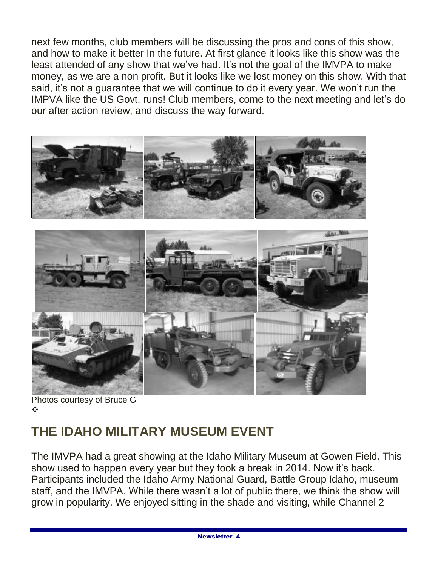next few months, club members will be discussing the pros and cons of this show, and how to make it better In the future. At first glance it looks like this show was the least attended of any show that we've had. It's not the goal of the IMVPA to make money, as we are a non profit. But it looks like we lost money on this show. With that said, it's not a guarantee that we will continue to do it every year. We won't run the IMPVA like the US Govt. runs! Club members, come to the next meeting and let's do our after action review, and discuss the way forward.



Photos courtesy of Bruce G ❖

# **THE IDAHO MILITARY MUSEUM EVENT**

The IMVPA had a great showing at the Idaho Military Museum at Gowen Field. This show used to happen every year but they took a break in 2014. Now it's back. Participants included the Idaho Army National Guard, Battle Group Idaho, museum staff, and the IMVPA. While there wasn't a lot of public there, we think the show will grow in popularity. We enjoyed sitting in the shade and visiting, while Channel 2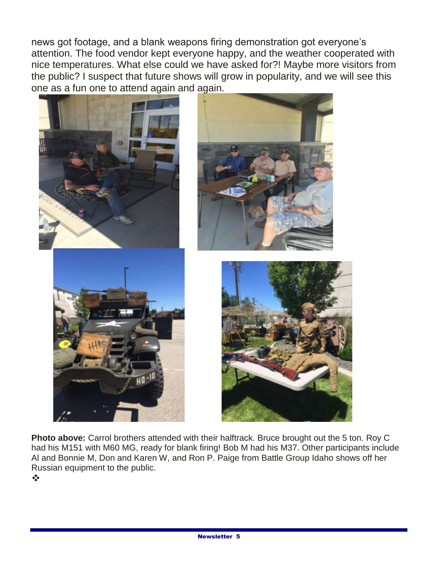news got footage, and a blank weapons firing demonstration got everyone's attention. The food vendor kept everyone happy, and the weather cooperated with nice temperatures. What else could we have asked for?! Maybe more visitors from the public? I suspect that future shows will grow in popularity, and we will see this one as a fun one to attend again and again.



**Photo above:** Carrol brothers attended with their halftrack. Bruce brought out the 5 ton. Roy C had his M151 with M60 MG, ready for blank firing! Bob M had his M37. Other participants include Al and Bonnie M, Don and Karen W, and Ron P. Paige from Battle Group Idaho shows off her Russian equipment to the public.

 $\frac{1}{2}$